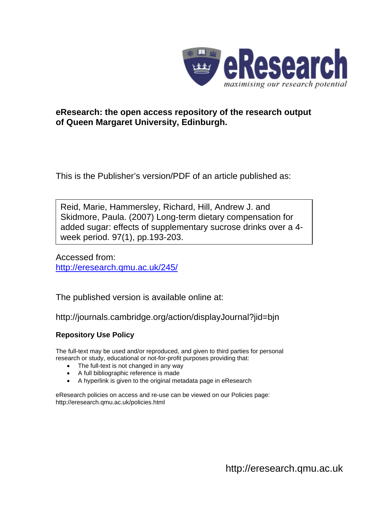

# **eResearch: the open access repository of the research output of Queen Margaret University, Edinburgh.**

This is the Publisher's version/PDF of an article published as:

Reid, Marie, Hammersley, Richard, Hill, Andrew J. and Skidmore, Paula. (2007) Long-term dietary compensation for added sugar: effects of supplementary sucrose drinks over a 4 week period. 97(1), pp.193-203.

Accessed from: <http://eresearch.qmu.ac.uk/245/>

The published version is available online at:

http://journals.cambridge.org/action/displayJournal?jid=bjn

## **Repository Use Policy**

The full-text may be used and/or reproduced, and given to third parties for personal research or study, educational or not-for-profit purposes providing that:

- The full-text is not changed in any way
- A full bibliographic reference is made
- A hyperlink is given to the original metadata page in eResearch

eResearch policies on access and re-use can be viewed on our Policies page: <http://eresearch.qmu.ac.uk/policies.html>

[http://eresearch.qmu.ac.uk](http://eresearch.qmu.ac.uk/)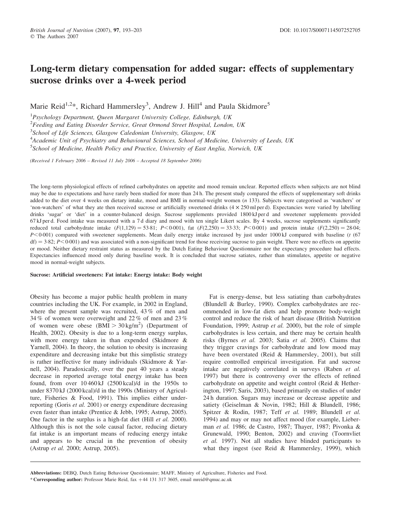## Long-term dietary compensation for added sugar: effects of supplementary sucrose drinks over a 4-week period

Marie Reid<sup>1,2\*</sup>, Richard Hammersley<sup>3</sup>, Andrew J. Hill<sup>4</sup> and Paula Skidmore<sup>5</sup>

<sup>1</sup> Psychology Department, Queen Margaret University College, Edinburgh, UK

 $2$ Feeding and Eating Disorder Service, Great Ormond Street Hospital, London, UK

<sup>3</sup>School of Life Sciences, Glasgow Caledonian University, Glasgow, UK

<sup>4</sup> Academic Unit of Psychiatry and Behavioural Sciences, School of Medicine, University of Leeds, UK

<sup>5</sup>School of Medicine, Health Policy and Practice, University of East Anglia, Norwich, UK

(Received 1 February 2006 – Revised 11 July 2006 – Accepted 18 September 2006)

The long-term physiological effects of refined carbohydrates on appetite and mood remain unclear. Reported effects when subjects are not blind may be due to expectations and have rarely been studied for more than 24 h. The present study compared the effects of supplementary soft drinks added to the diet over 4 weeks on dietary intake, mood and BMI in normal-weight women (n 133). Subjects were categorised as 'watchers' or 'non-watchers' of what they ate then received sucrose or artificially sweetened drinks  $(4 \times 250 \text{ ml per d})$ . Expectancies were varied by labelling drinks 'sugar' or 'diet' in a counter-balanced design. Sucrose supplements provided 1800 kJ per d and sweetener supplements provided 67 kJ per d. Food intake was measured with a 7 d diary and mood with ten single Likert scales. By 4 weeks, sucrose supplements significantly reduced total carbohydrate intake  $(F(1,129) = 53.81; P < 0.001)$ , fat  $(F(2,250) = 33.33; P < 0.001)$  and protein intake  $(F(2,250) = 28.04;$  $P$ <0.001) compared with sweetener supplements. Mean daily energy intake increased by just under 1000 kJ compared with baseline (t (67)  $df$  = 3·82; P<0.001) and was associated with a non-significant trend for those receiving sucrose to gain weight. There were no effects on appetite or mood. Neither dietary restraint status as measured by the Dutch Eating Behaviour Questionnaire nor the expectancy procedure had effects. Expectancies influenced mood only during baseline week. It is concluded that sucrose satiates, rather than stimulates, appetite or negative mood in normal-weight subjects.

#### Sucrose: Artificial sweeteners: Fat intake: Energy intake: Body weight

Obesity has become a major public health problem in many countries including the UK. For example, in 2002 in England, where the present sample was recruited, 43 % of men and 34 % of women were overweight and 22 % of men and 23 % of women were obese  $(BM\bar{I} > 30 \text{ kg/m}^2)$  (Department of Health, 2002). Obesity is due to a long-term energy surplus, with more energy taken in than expended (Skidmore & Yarnell, 2004). In theory, the solution to obesity is increasing expenditure and decreasing intake but this simplistic strategy is rather ineffective for many individuals (Skidmore & Yarnell, 2004). Paradoxically, over the past 40 years a steady decrease in reported average total energy intake has been found, from over 10 460 kJ (2500 kcal)/d in the 1950s to under 8370 kJ (2000 kcal)/d in the 1990s (Ministry of Agriculture, Fisheries & Food, 1991). This implies either underreporting (Goris et al. 2001) or energy expenditure decreasing even faster than intake (Prentice & Jebb, 1995; Astrup, 2005). One factor in the surplus is a high-fat diet (Hill et al. 2000). Although this is not the sole causal factor, reducing dietary fat intake is an important means of reducing energy intake and appears to be crucial in the prevention of obesity (Astrup et al. 2000; Astrup, 2005).

Fat is energy-dense, but less satiating than carbohydrates (Blundell & Burley, 1990). Complex carbohydrates are recommended in low-fat diets and help promote body-weight control and reduce the risk of heart disease (British Nutrition Foundation, 1999; Astrup et al. 2000), but the role of simple carbohydrates is less certain, and there may be certain health risks (Byrnes et al. 2003; Satia et al. 2005). Claims that they trigger cravings for carbohydrate and low mood may have been overstated (Reid & Hammersley, 2001), but still require controlled empirical investigation. Fat and sucrose intake are negatively correlated in surveys (Raben et al. 1997) but there is controversy over the effects of refined carbohydrate on appetite and weight control (Reid & Hetherington, 1997; Saris, 2003), based primarily on studies of under 24 h duration. Sugars may increase or decrease appetite and satiety (Geiselman & Novin, 1982; Hill & Blundell, 1986; Spitzer & Rodin, 1987; Teff et al. 1989; Blundell et al. 1994) and may or may not affect mood (for example, Lieberman et al. 1986; de Castro, 1987; Thayer, 1987; Pivonka & Grunewald, 1990; Benton, 2002) and craving (Toornvliet et al. 1997). Not all studies have blinded participants to what they ingest (see Reid & Hammersley, 1999), which

Abbreviations: DEBQ, Dutch Eating Behaviour Questionnaire; MAFF, Ministry of Agriculture, Fisheries and Food.

<sup>\*</sup> Corresponding author: Professor Marie Reid, fax  $+44$  131 317 3605, email mreid@qmuc.ac.uk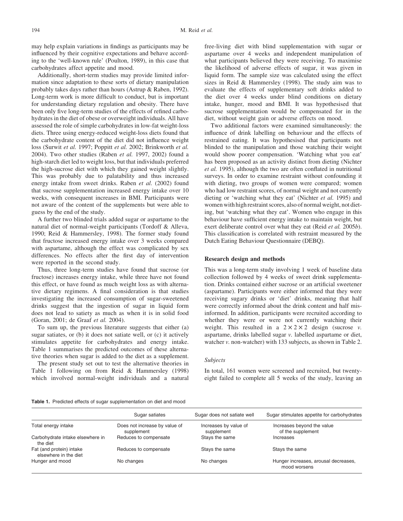may help explain variations in findings as participants may be influenced by their cognitive expectations and behave according to the 'well-known rule' (Poulton, 1989), in this case that carbohydrates affect appetite and mood.

Additionally, short-term studies may provide limited information since adaptation to these sorts of dietary manipulation probably takes days rather than hours (Astrup & Raben, 1992). Long-term work is more difficult to conduct, but is important for understanding dietary regulation and obesity. There have been only five long-term studies of the effects of refined carbohydrates in the diet of obese or overweight individuals. All have assessed the role of simple carbohydrates in low-fat weight-loss diets. Three using energy-reduced weight-loss diets found that the carbohydrate content of the diet did not influence weight loss (Surwit et al. 1997; Poppitt et al. 2002; Brinkworth et al. 2004). Two other studies (Raben et al. 1997, 2002) found a high-starch diet led to weight loss, but that individuals preferred the high-sucrose diet with which they gained weight slightly. This was probably due to palatability and thus increased energy intake from sweet drinks. Raben et al. (2002) found that sucrose supplementation increased energy intake over 10 weeks, with consequent increases in BMI. Participants were not aware of the content of the supplements but were able to guess by the end of the study.

A further two blinded trials added sugar or aspartame to the natural diet of normal-weight participants (Tordoff & Alleva, 1990; Reid & Hammersley, 1998). The former study found that fructose increased energy intake over 3 weeks compared with aspartame, although the effect was complicated by sex differences. No effects after the first day of intervention were reported in the second study.

Thus, three long-term studies have found that sucrose (or fructose) increases energy intake, while three have not found this effect, or have found as much weight loss as with alternative dietary regimens. A final consideration is that studies investigating the increased consumption of sugar-sweetened drinks suggest that the ingestion of sugar in liquid form does not lead to satiety as much as when it is in solid food (Goran, 2001; de Graaf et al. 2004).

To sum up, the previous literature suggests that either (a) sugar satiates, or (b) it does not satiate well, or (c) it actively stimulates appetite for carbohydrates and energy intake. Table 1 summarises the predicted outcomes of these alternative theories when sugar is added to the diet as a supplement.

The present study set out to test the alternative theories in Table 1 following on from Reid & Hammersley (1998) which involved normal-weight individuals and a natural free-living diet with blind supplementation with sugar or aspartame over 4 weeks and independent manipulation of what participants believed they were receiving. To maximise the likelihood of adverse effects of sugar, it was given in liquid form. The sample size was calculated using the effect sizes in Reid & Hammersley (1998). The study aim was to evaluate the effects of supplementary soft drinks added to the diet over 4 weeks under blind conditions on dietary intake, hunger, mood and BMI. It was hypothesised that sucrose supplementation would be compensated for in the diet, without weight gain or adverse effects on mood.

Two additional factors were examined simultaneously: the influence of drink labelling on behaviour and the effects of restrained eating. It was hypothesised that participants not blinded to the manipulation and those watching their weight would show poorer compensation. 'Watching what you eat' has been proposed as an activity distinct from dieting (Nichter et al. 1995), although the two are often conflated in nutritional surveys. In order to examine restraint without confounding it with dieting, two groups of women were compared; women who had low restraint scores, of normal weight and not currently dieting or 'watching what they eat' (Nichter et al. 1995) and women with high restraint scores, also of normal weight, not dieting, but 'watching what they eat'. Women who engage in this behaviour have sufficient energy intake to maintain weight, but exert deliberate control over what they eat (Reid et al. 2005b). This classification is correlated with restraint measured by the Dutch Eating Behaviour Questionnaire (DEBQ).

#### Research design and methods

This was a long-term study involving 1 week of baseline data collection followed by 4 weeks of sweet drink supplementation. Drinks contained either sucrose or an artificial sweetener (aspartame). Participants were either informed that they were receiving sugary drinks or 'diet' drinks, meaning that half were correctly informed about the drink content and half misinformed. In addition, participants were recruited according to whether they were or were not currently watching their weight. This resulted in a  $2 \times 2 \times 2$  design (sucrose v. aspartame, drinks labelled sugar v. labelled aspartame or diet, watcher *v*. non-watcher) with 133 subjects, as shown in Table 2.

#### Subjects

In total, 161 women were screened and recruited, but twentyeight failed to complete all 5 weeks of the study, leaving an

|  |  |  |  |  | Table 1. Predicted effects of sugar supplementation on diet and mood |
|--|--|--|--|--|----------------------------------------------------------------------|
|--|--|--|--|--|----------------------------------------------------------------------|

|                                                   | Sugar satiates                              | Sugar does not satiate well         | Sugar stimulates appetite for carbohydrates          |
|---------------------------------------------------|---------------------------------------------|-------------------------------------|------------------------------------------------------|
| Total energy intake                               | Does not increase by value of<br>supplement | Increases by value of<br>supplement | Increases beyond the value<br>of the supplement      |
| Carbohydrate intake elsewhere in<br>the diet      | Reduces to compensate                       | Stays the same                      | Increases                                            |
| Fat (and protein) intake<br>elsewhere in the diet | Reduces to compensate                       | Stays the same                      | Stays the same                                       |
| Hunger and mood                                   | No changes                                  | No changes                          | Hunger increases, arousal decreases,<br>mood worsens |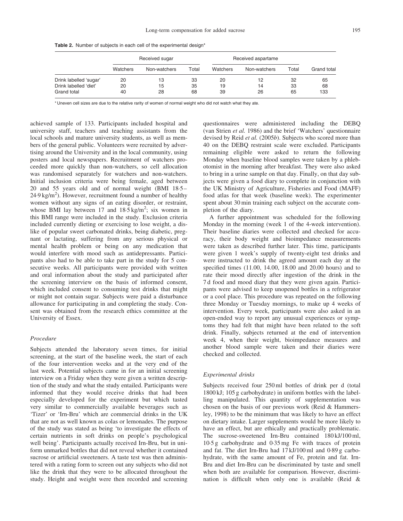|                                      |          | Received sugar |          |          | Received aspartame |          |             |
|--------------------------------------|----------|----------------|----------|----------|--------------------|----------|-------------|
|                                      | Watchers | Non-watchers   | Total    | Watchers | Non-watchers       | Total    | Grand total |
| Drink labelled 'sugar'               | 20       | 13             | 33       | 20       | 12                 | 32       | 65          |
| Drink labelled 'diet'<br>Grand total | 20<br>40 | 15<br>28       | 35<br>68 | 19<br>39 | 14<br>26           | 33<br>65 | 68<br>133   |

Table 2. Number of subjects in each cell of the experimental design\*

\* Uneven cell sizes are due to the relative rarity of women of normal weight who did not watch what they ate.

achieved sample of 133. Participants included hospital and university staff, teachers and teaching assistants from the local schools and mature university students, as well as members of the general public. Volunteers were recruited by advertising around the University and in the local community, using posters and local newspapers. Recruitment of watchers proceeded more quickly than non-watchers, so cell allocation was randomised separately for watchers and non-watchers. Initial inclusion criteria were being female, aged between 20 and 55 years old and of normal weight (BMI 18-5- $24.9 \text{ kg/m}^2$ ). However, recruitment found a number of healthy women without any signs of an eating disorder, or restraint, whose BMI lay between 17 and  $18.5 \text{ kg/m}^2$ ; six women in this BMI range were included in the study. Exclusion criteria included currently dieting or exercising to lose weight, a dislike of popular sweet carbonated drinks, being diabetic, pregnant or lactating, suffering from any serious physical or mental health problem or being on any medication that would interfere with mood such as antidepressants. Participants also had to be able to take part in the study for 5 consecutive weeks. All participants were provided with written and oral information about the study and participated after the screening interview on the basis of informed consent, which included consent to consuming test drinks that might or might not contain sugar. Subjects were paid a disturbance allowance for participating in and completing the study. Consent was obtained from the research ethics committee at the University of Essex.

#### Procedure

Subjects attended the laboratory seven times, for initial screening, at the start of the baseline week, the start of each of the four intervention weeks and at the very end of the last week. Potential subjects came in for an initial screening interview on a Friday when they were given a written description of the study and what the study entailed. Participants were informed that they would receive drinks that had been especially developed for the experiment but which tasted very similar to commercially available beverages such as 'Tizer' or 'Irn-Bru' which are commercial drinks in the UK that are not as well known as colas or lemonades. The purpose of the study was stated as being 'to investigate the effects of certain nutrients in soft drinks on people's psychological well being'. Participants actually received Irn-Bru, but in uniform unmarked bottles that did not reveal whether it contained sucrose or artificial sweeteners. A taste test was then administered with a rating form to screen out any subjects who did not like the drink that they were to be allocated throughout the study. Height and weight were then recorded and screening questionnaires were administered including the DEBQ (van Strien et al. 1986) and the brief 'Watchers' questionnaire devised by Reid et al. (2005b). Subjects who scored more than 40 on the DEBQ restraint scale were excluded. Participants remaining eligible were asked to return the following Monday when baseline blood samples were taken by a phlebotomist in the morning after breakfast. They were also asked to bring in a urine sample on that day. Finally, on that day subjects were given a food diary to complete in conjunction with the UK Ministry of Agriculture, Fisheries and Food (MAFF) food atlas for that week (baseline week). The experimenter spent about 30 min training each subject on the accurate completion of the diary.

A further appointment was scheduled for the following Monday in the morning (week 1 of the 4-week intervention). Their baseline diaries were collected and checked for accuracy, their body weight and bioimpedance measurements were taken as described further later. This time, participants were given 1 week's supply of twenty-eight test drinks and were instructed to drink the agreed amount each day at the specified times (11.00, 14.00, 18.00 and 20.00 hours) and to rate their mood directly after ingestion of the drink in the 7 d food and mood diary that they were given again. Participants were advised to keep unopened bottles in a refrigerator or a cool place. This procedure was repeated on the following three Monday or Tuesday mornings, to make up 4 weeks of intervention. Every week, participants were also asked in an open-ended way to report any unusual experiences or symptoms they had felt that might have been related to the soft drink. Finally, subjects returned at the end of intervention week 4, when their weight, bioimpedance measures and another blood sample were taken and their diaries were checked and collected.

#### Experimental drinks

Subjects received four 250 ml bottles of drink per d (total 1800 kJ; 105 g carbohydrate) in uniform bottles with the labelling manipulated. This quantity of supplementation was chosen on the basis of our previous work (Reid & Hammersley, 1998) to be the minimum that was likely to have an effect on dietary intake. Larger supplements would be more likely to have an effect, but are ethically and practically problematic. The sucrose-sweetened Irn-Bru contained 180 kJ/100 ml, 10·5 g carbohydrate and 0·35 mg Fe with traces of protein and fat. The diet Irn-Bru had 17 kJ/100 ml and 0·89 g carbohydrate, with the same amount of Fe, protein and fat. Irn-Bru and diet Irn-Bru can be discriminated by taste and smell when both are available for comparison. However, discrimination is difficult when only one is available (Reid &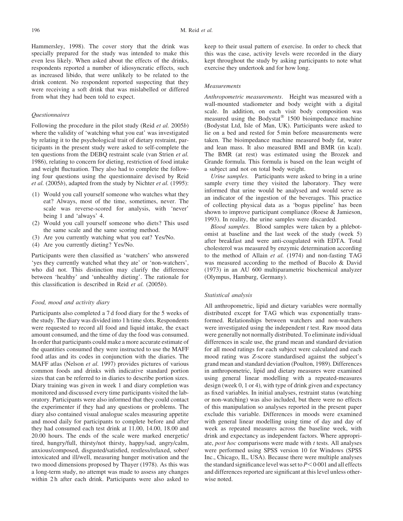Hammersley, 1998). The cover story that the drink was specially prepared for the study was intended to make this even less likely. When asked about the effects of the drinks, respondents reported a number of idiosyncratic effects, such as increased libido, that were unlikely to be related to the drink content. No respondent reported suspecting that they were receiving a soft drink that was mislabelled or differed from what they had been told to expect.

## Questionnaires

Following the procedure in the pilot study (Reid et al. 2005b) where the validity of 'watching what you eat' was investigated by relating it to the psychological trait of dietary restraint, participants in the present study were asked to self-complete the ten questions from the DEBQ restraint scale (van Strien et al. 1986), relating to concern for dieting, restriction of food intake and weight fluctuation. They also had to complete the following four questions using the questionnaire devised by Reid et al. (2005b), adapted from the study by Nichter et al. (1995):

- (1) Would you call yourself someone who watches what they eat? Always, most of the time, sometimes, never. The scale was reverse-scored for analysis, with 'never' being 1 and 'always' 4.
- (2) Would you call yourself someone who diets? This used the same scale and the same scoring method.
- (3) Are you currently watching what you eat? Yes/No.
- (4) Are you currently dieting? Yes/No.

Participants were then classified as 'watchers' who answered 'yes they currently watched what they ate' or 'non-watchers', who did not. This distinction may clarify the difference between 'healthy' and 'unhealthy dieting'. The rationale for this classification is described in Reid et al. (2005b).

#### Food, mood and activity diary

Participants also completed a 7 d food diary for the 5 weeks of the study. The diary was divided into 1 h time slots. Respondents were requested to record all food and liquid intake, the exact amount consumed, and the time of day the food was consumed. In order that participants could make a more accurate estimate of the quantities consumed they were instructed to use the MAFF food atlas and its codes in conjunction with the diaries. The MAFF atlas (Nelson et al. 1997) provides pictures of various common foods and drinks with indicative standard portion sizes that can be referred to in diaries to describe portion sizes. Diary training was given in week 1 and diary completion was monitored and discussed every time participants visited the laboratory. Participants were also informed that they could contact the experimenter if they had any questions or problems. The diary also contained visual analogue scales measuring appetite and mood daily for participants to complete before and after they had consumed each test drink at 11.00, 14.00, 18.00 and 20.00 hours. The ends of the scale were marked energetic/ tired, hungry/full, thirsty/not thirsty, happy/sad, angry/calm, anxious/composed, disgusted/satisfied, restless/relaxed, sober/ intoxicated and ill/well, measuring hunger motivation and the two mood dimensions proposed by Thayer (1978). As this was a long-term study, no attempt was made to assess any changes within 2h after each drink. Participants were also asked to keep to their usual pattern of exercise. In order to check that this was the case, activity levels were recorded in the diary kept throughout the study by asking participants to note what exercise they undertook and for how long.

#### Measurements

Anthropometric measurements. Height was measured with a wall-mounted stadiometer and body weight with a digital scale. In addition, on each visit body composition was measured using the Bodystat $^{\circledR}$  1500 bioimpedance machine (Bodystat Ltd, Isle of Man, UK). Participants were asked to lie on a bed and rested for 5 min before measurements were taken. The bioimpedance machine measured body fat, water and lean mass. It also measured BMI and BMR (in kcal). The BMR (at rest) was estimated using the Brozek and Grande formula. This formula is based on the lean weight of a subject and not on total body weight.

Urine samples. Participants were asked to bring in a urine sample every time they visited the laboratory. They were informed that urine would be analysed and would serve as an indicator of the ingestion of the beverages. This practice of collecting physical data as a 'bogus pipeline' has been shown to improve participant compliance (Roese & Jamieson, 1993). In reality, the urine samples were discarded.

Blood samples. Blood samples were taken by a phlebotomist at baseline and the last week of the study (week 5) after breakfast and were anti-coagulated with EDTA. Total cholesterol was measured by enzymic determination according to the method of Allain et al. (1974) and non-fasting TAG was measured according to the method of Bucolo & David (1973) in an AU 600 multiparametric biochemical analyzer (Olympus, Hamburg, Germany).

#### Statistical analysis

All anthropometric, lipid and dietary variables were normally distributed except for TAG which was exponentially transformed. Relationships between watchers and non-watchers were investigated using the independent  $t$  test. Raw mood data were generally not normally distributed. To eliminate individual differences in scale use, the grand mean and standard deviation for all mood ratings for each subject were calculated and each mood rating was Z-score standardised against the subject's grand mean and standard deviation (Poulton, 1989). Differences in anthropometric, lipid and dietary measures were examined using general linear modelling with a repeated-measures design (week 0, 1 or 4), with type of drink given and expectancy as fixed variables. In initial analyses, restraint status (watching or non-watching) was also included, but there were no effects of this manipulation so analyses reported in the present paper exclude this variable. Differences in moods were examined with general linear modelling using time of day and day of week as repeated measures across the baseline week, with drink and expectancy as independent factors. Where appropriate, post hoc comparisons were made with t tests. All analyses were performed using SPSS version 10 for Windows (SPSS Inc., Chicago, IL, USA). Because there were multiple analyses the standard significance level was set to  $P < 0.001$  and all effects and differences reported are significant at this level unless otherwise noted.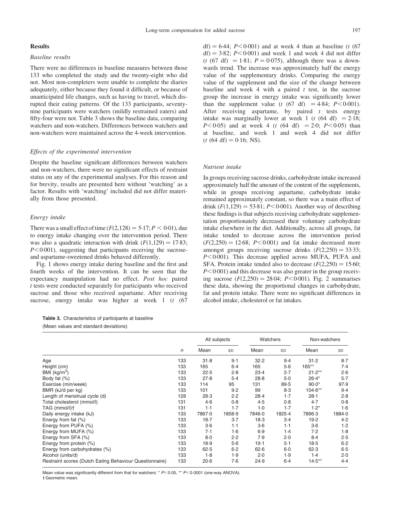#### Results

## Baseline results

There were no differences in baseline measures between those 133 who completed the study and the twenty-eight who did not. Most non-completers were unable to complete the diaries adequately, either because they found it difficult, or because of unanticipated life changes, such as having to travel, which disrupted their eating patterns. Of the 133 participants, seventynine participants were watchers (mildly restrained eaters) and fifty-four were not. Table 3 shows the baseline data, comparing watchers and non-watchers. Differences between watchers and non-watchers were maintained across the 4-week intervention.

#### Effects of the experimental intervention

Despite the baseline significant differences between watchers and non-watchers, there were no significant effects of restraint status on any of the experimental analyses. For this reason and for brevity, results are presented here without 'watching' as a factor. Results with 'watching' included did not differ materially from those presented.

## Energy intake

There was a small effect of time  $(F(2,128) = 5.17; P < 0.01)$ , due to energy intake changing over the intervention period. There was also a quadratic interaction with drink  $(F(1,129) = 17.83;$  $P<0.001$ ), suggesting that participants receiving the sucroseand aspartame-sweetened drinks behaved differently.

Fig. 1 shows energy intake during baseline and the first and fourth weeks of the intervention. It can be seen that the expectancy manipulation had no effect. Post hoc paired t tests were conducted separately for participants who received sucrose and those who received aspartame. After receiving sucrose, energy intake was higher at week  $1 (t (67)$ 

|  | Table 3. Characteristics of participants at baseline |  |  |
|--|------------------------------------------------------|--|--|
|--|------------------------------------------------------|--|--|

(Mean values and standard deviations)

df) = 6.44;  $P < 0.001$ ) and at week 4 than at baseline (t (67)  $df$  = 3·82; P<0·001) and week 1 and week 4 did not differ  $(t (67 \text{ df}) = 1.81$ ;  $P = 0.075$ ), although there was a downwards trend. The increase was approximately half the energy value of the supplementary drinks. Comparing the energy value of the supplement and the size of the change between baseline and week 4 with a paired  $t$  test, in the sucrose group the increase in energy intake was significantly lower than the supplement value (t  $(67 \text{ df}) = 4.84$ ;  $P < 0.001$ ). After receiving aspartame, by paired  $t$  tests energy intake was marginally lower at week 1 ( $t$  (64 df) = 2·18;  $P<0.05$ ) and at week 4 (t (64 df) = 2.0; P $< 0.05$ ) than at baseline, and week 1 and week 4 did not differ  $(t (64 df) = 0.16; NS).$ 

## Nutrient intake

In groups receiving sucrose drinks, carbohydrate intake increased approximately half the amount of the content of the supplements, while in groups receiving aspartame, carbohydrate intake remained approximately constant, so there was a main effect of drink  $(F(1,129) = 53.81; P < 0.001)$ . Another way of describing these findings is that subjects receiving carbohydrate supplementation proportionately decreased their voluntary carbohydrate intake elsewhere in the diet. Additionally, across all groups, fat intake tended to decrease across the intervention period  $(F(2,250) = 12.68; P < 0.001)$  and fat intake decreased more amongst groups receiving sucrose drinks  $(F(2,250) = 33.33;$  $P<0.001$ ). This decrease applied across MUFA, PUFA and SFA. Protein intake tended also to decrease  $(F(2,250) = 15.60;$  $P<0.001$ ) and this decrease was also greater in the group receiving sucrose  $(F(2,250) = 28.04; P < 0.001)$ . Fig. 2 summarises these data, showing the proportional changes in carbohydrate, fat and protein intake. There were no significant differences in alcohol intake, cholesterol or fat intakes.

|                                                         |            |         | All subjects |          | Watchers | Non-watchers |         |
|---------------------------------------------------------|------------|---------|--------------|----------|----------|--------------|---------|
|                                                         | $\sqrt{n}$ | Mean    | SD           | Mean     | SD       | Mean         | SD      |
| Age                                                     | 133        | 31.8    | $9 - 1$      | 32.2     | 9.4      | $31 - 2$     | $8-7$   |
| Height (cm)                                             | 133        | 165     | $6-4$        | 165      | $5-6$    | 165**        | 7.4     |
| BMI ( $kg/m2$ )                                         | 133        | 22.5    | 2.8          | 23.4     | 2.7      | $21.2**$     | 2.6     |
| Body fat (%)                                            | 133        | 27.8    | $5-4$        | 28.8     | $5-0$    | $26.4*$      | $5 - 7$ |
| Exercise (min/week)                                     | 133        | 114     | 95           | 131      | 89.5     | $90.0*$      | 97.9    |
| BMR (kJ/d per kg)                                       | 133        | 101     | 9.2          | 99       | 8.3      | $104.6**$    | 9.4     |
| Length of menstrual cycle (d)                           | 128        | 28.3    | 2.2          | 28.4     | $1-7$    | $28 - 1$     | 2.8     |
| Total cholesterol (mmol/l)                              | 131        | 4.6     | 0.8          | 4.5      | 0.8      | 4.7          | 0.8     |
| TAG (mmol/l)+                                           | 131        | $1 - 1$ | $1-7$        | $1-0$    | $1-7$    | $1.2*$       | 1.6     |
| Daily energy intake (kJ)                                | 133        | 7867.0  | 1858-9       | 7846.0   | 1825-4   | 7896-3       | 1884-0  |
| Energy from fat (%)                                     | 133        | $18-7$  | $3-7$        | 18.3     | $3-4$    | 19.2         | 4.2     |
| Energy from PUFA (%)                                    | 133        | $3-6$   | $1 - 1$      | $3-6$    | $1 - 1$  | $3-6$        | 1.2     |
| Energy from MUFA (%)                                    | 133        | 7.1     | 1·6          | 6.9      | $1-4$    | 7.2          | 1.8     |
| Energy from SFA (%)                                     | 133        | $8-0$   | 2.2          | 7.9      | 2.0      | 8.4          | 2.5     |
| Energy from protein (%)                                 | 133        | 18.9    | $5-6$        | 19.1     | $5-1$    | $18-5$       | $6 - 2$ |
| Energy from carbohydrates (%)                           | 133        | 62.5    | $6-2$        | $62 - 6$ | $6-0$    | 62.3         | $6 - 5$ |
| Alcohol (units/d)                                       | 133        | 1.8     | 1.9          | 2.0      | 1.9      | $1-4$        | 2.0     |
| Restraint scores (Dutch Eating Behaviour Questionnaire) | 133        | $20-6$  | 7.6          | 24.9     | $6-4$    | $14.5***$    | 4.4     |

Mean value was significantly different from that for watchers: \*  $P<0.05$ , \*\*  $P<0.0001$  (one-way ANOVA). † Geometric mean.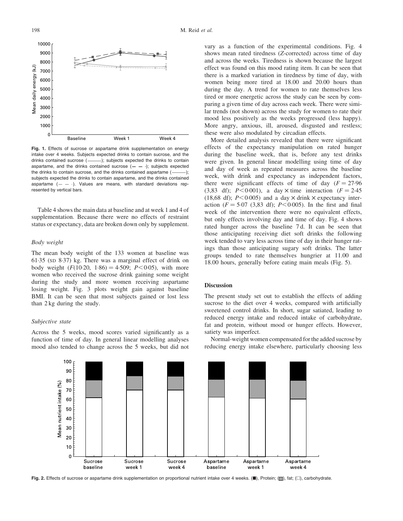

Fig. 1. Effects of sucrose or aspartame drink supplementation on energy intake over 4 weeks. Subjects expected drinks to contain sucrose, and the drinks contained sucrose ( ); subjects expected the drinks to contain aspartame, and the drinks contained sucrose  $(- - \cdot)$ ; subjects expected the drinks to contain sucrose, and the drinks contained aspartame ( ); subjects expected the drinks to contain aspartame, and the drinks contained aspartame  $( - - \cdot )$ . Values are means, with standard deviations represented by vertical bars.

Table 4 shows the main data at baseline and at week 1 and 4 of supplementation. Because there were no effects of restraint status or expectancy, data are broken down only by supplement.

## Body weight

The mean body weight of the 133 women at baseline was 61·35 (SD 8·37) kg. There was a marginal effect of drink on body weight  $(F(10.20, 1.86) = 4.509; P < 0.05)$ , with more women who received the sucrose drink gaining some weight during the study and more women receiving aspartame losing weight. Fig. 3 plots weight gain against baseline BMI. It can be seen that most subjects gained or lost less than 2 kg during the study.

#### Subjective state

Across the 5 weeks, mood scores varied significantly as a function of time of day. In general linear modelling analyses mood also tended to change across the 5 weeks, but did not vary as a function of the experimental conditions. Fig. 4 shows mean rated tiredness (Z-corrected) across time of day and across the weeks. Tiredness is shown because the largest effect was found on this mood rating item. It can be seen that there is a marked variation in tiredness by time of day, with women being more tired at 18.00 and 20.00 hours than during the day. A trend for women to rate themselves less tired or more energetic across the study can be seen by comparing a given time of day across each week. There were similar trends (not shown) across the study for women to rate their mood less positively as the weeks progressed (less happy). More angry, anxious, ill, aroused, disgusted and restless; these were also modulated by circadian effects.

More detailed analysis revealed that there were significant effects of the expectancy manipulation on rated hunger during the baseline week, that is, before any test drinks were given. In general linear modelling using time of day and day of week as repeated measures across the baseline week, with drink and expectancy as independent factors, there were significant effects of time of day  $(F = 27.96$ (3,83 df);  $P<0.001$ ), a day  $\times$  time interaction ( $F = 2.45$ ) (18,68 df);  $P < 0.005$ ) and a day  $\times$  drink  $\times$  expectancy interaction ( $F = 5.07$  (3,83 df);  $P < 0.005$ ). In the first and final week of the intervention there were no equivalent effects, but only effects involving day and time of day. Fig. 4 shows rated hunger across the baseline 7 d. It can be seen that those anticipating receiving diet soft drinks the following week tended to vary less across time of day in their hunger ratings than those anticipating sugary soft drinks. The latter groups tended to rate themselves hungrier at 11.00 and 18.00 hours, generally before eating main meals (Fig. 5).

### Discussion

The present study set out to establish the effects of adding sucrose to the diet over 4 weeks, compared with artificially sweetened control drinks. In short, sugar satiated, leading to reduced energy intake and reduced intake of carbohydrate, fat and protein, without mood or hunger effects. However, satiety was imperfect.

Normal-weight women compensated for the added sucrose by reducing energy intake elsewhere, particularly choosing less



Fig. 2. Effects of sucrose or aspartame drink supplementation on proportional nutrient intake over 4 weeks. ( $\blacksquare$ ), Protein; ( $\blacksquare$ ), fat; ( $\square$ ), carbohydrate.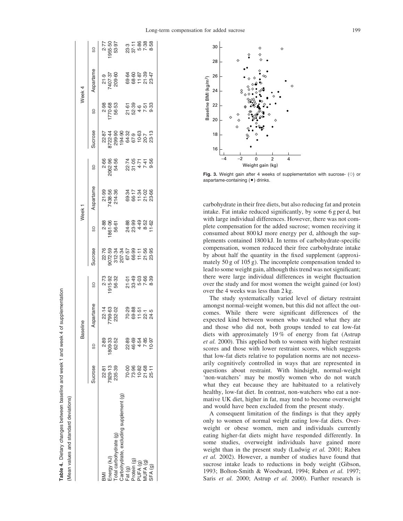|                                       |                   |                              | Baseline  |    |                                                                                                                                                                                                                                                                                                     |                                                                                                                                | Week <sub>1</sub>                                                                                                                                                                                                                                                                                    |                            |                                |                                                | Week 4    |                       |
|---------------------------------------|-------------------|------------------------------|-----------|----|-----------------------------------------------------------------------------------------------------------------------------------------------------------------------------------------------------------------------------------------------------------------------------------------------------|--------------------------------------------------------------------------------------------------------------------------------|------------------------------------------------------------------------------------------------------------------------------------------------------------------------------------------------------------------------------------------------------------------------------------------------------|----------------------------|--------------------------------|------------------------------------------------|-----------|-----------------------|
|                                       | Sucrose           | SD                           | Aspartame | SD | Sucrose                                                                                                                                                                                                                                                                                             | G                                                                                                                              | Aspartame                                                                                                                                                                                                                                                                                            | 9                          | Sucrose                        | 9                                              | Aspartame | SD                    |
|                                       | 22.81             | 2.89                         |           |    |                                                                                                                                                                                                                                                                                                     |                                                                                                                                |                                                                                                                                                                                                                                                                                                      |                            |                                |                                                |           |                       |
|                                       |                   |                              |           |    | $\begin{array}{l} 68.76 \\ 20.76 \\ 20.76 \\ 20.76 \\ 20.76 \\ 20.76 \\ 20.76 \\ 20.76 \\ 20.76 \\ 20.76 \\ 20.76 \\ 20.76 \\ 20.76 \\ 20.76 \\ 20.76 \\ 20.76 \\ 20.76 \\ 20.76 \\ 20.76 \\ 20.76 \\ 20.76 \\ 20.76 \\ 20.76 \\ 20.76 \\ 20.76 \\ 20.76 \\ 20.76 \\ 20.76 \\ 20.76 \\ 20.76 \\ 20$ | 88<br>26 5 88<br>26 8 88 9 2 2 3 4 9 5 6 7 8 9 8 9 8 9 8 9 8 9 8 9 8 9 8 9 8 9 9 9 9 9 9 9 9 8 9 9 9 9 9 9 9 9 9 9 9 9 9 9 9 9 | $\begin{array}{ll} 21.98 \\ 21.87 \\ 22.48 \\ 23.58 \\ 24.39 \\ 25.58 \\ 26.59 \\ 27.59 \\ 28.59 \\ 29.59 \\ 20.59 \\ 21.59 \\ 22.59 \\ 23.59 \\ 24.59 \\ 25.59 \\ 26.59 \\ 27.59 \\ 28.59 \\ 29.59 \\ 21.59 \\ 22.59 \\ 23.59 \\ 24.59 \\ 25.59 \\ 26.59 \\ 27.59 \\ 28.59 \\ 29.59 \\ 29.59 \\ 23$ | 2.66<br>2062.96<br>54.56   | 87<br>8788889887<br>8888898778 | 2006<br>2006: 2006<br>2006: 2006<br>2006: 2017 |           | 77<br>955.50<br>53.97 |
| tal carbohydrate (                    | 7929-13<br>235-39 | 809.52<br>62.52              |           |    |                                                                                                                                                                                                                                                                                                     |                                                                                                                                |                                                                                                                                                                                                                                                                                                      |                            |                                |                                                |           |                       |
| rtoohydrate, excluding supplement (g) |                   |                              |           |    |                                                                                                                                                                                                                                                                                                     |                                                                                                                                |                                                                                                                                                                                                                                                                                                      |                            |                                |                                                |           |                       |
| at (g)                                |                   |                              |           |    |                                                                                                                                                                                                                                                                                                     |                                                                                                                                |                                                                                                                                                                                                                                                                                                      |                            |                                |                                                |           |                       |
| votein N                              |                   |                              |           |    |                                                                                                                                                                                                                                                                                                     |                                                                                                                                |                                                                                                                                                                                                                                                                                                      |                            |                                |                                                |           |                       |
|                                       |                   |                              |           |    |                                                                                                                                                                                                                                                                                                     |                                                                                                                                |                                                                                                                                                                                                                                                                                                      |                            |                                |                                                |           |                       |
|                                       |                   | 28<br>88<br>884 86<br>884 86 |           |    |                                                                                                                                                                                                                                                                                                     |                                                                                                                                |                                                                                                                                                                                                                                                                                                      | せのトキ8<br>20.01年の<br>20.01年 |                                |                                                |           |                       |
|                                       |                   |                              |           |    |                                                                                                                                                                                                                                                                                                     |                                                                                                                                |                                                                                                                                                                                                                                                                                                      |                            |                                |                                                |           |                       |
|                                       |                   |                              |           |    |                                                                                                                                                                                                                                                                                                     |                                                                                                                                |                                                                                                                                                                                                                                                                                                      |                            |                                |                                                |           |                       |

Table 4. Dietary changes between baseline and week 1 and week 4 of supplementation

(Mean values and standard deviations)

(Mean values and standard deviations)

Dietary changes between baseline and week 1 and week 4 of supplementation



Weight gain (kg)

Fig. 3. Weight gain after 4 weeks of supplementation with sucrose-  $(\diamond)$  or aspartame-containing ( $\bullet$ ) drinks.

carbohydrate in their free diets, but also reducing fat and protein intake. Fat intake reduced significantly, by some 6 g per d, but with large individual differences. However, there was not complete compensation for the added sucrose; women receiving it consumed about 800 kJ more energy per d, although the supplements contained 1800 kJ. In terms of carbohydrate-specific compensation, women reduced their free carbohydrate intake by about half the quantity in the fixed supplement (approximately 50 g of 105 g). The incomplete compensation tended to lead to some weight gain, although this trend was not significant; there were large individual differences in weight fluctuation over the study and for most women the weight gained (or lost) over the 4 weeks was less than 2 kg.

The study systematically varied level of dietary restraint amongst normal-weight women, but this did not affect the outcomes. While there were significant differences of the expected kind between women who watched what they ate and those who did not, both groups tended to eat low-fat diets with approximately 19 % of energy from fat (Astrup et al. 2000). This applied both to women with higher restraint scores and those with lower restraint scores, which suggests that low-fat diets relative to population norms are not necessarily cognitively controlled in ways that are represented in questions about restraint. With hindsight, normal-weight 'non-watchers' may be mostly women who do not watch what they eat because they are habituated to a relatively healthy, low-fat diet. In contrast, non-watchers who eat a normative UK diet, higher in fat, may tend to become overweight and would have been excluded from the present study.

A consequent limitation of the findings is that they apply only to women of normal weight eating low-fat diets. Overweight or obese women, men and individuals currently eating higher-fat diets might have responded differently. In some studies, overweight individuals have gained more weight than in the present study (Ludwig et al. 2001; Raben et al. 2002). However, a number of studies have found that sucrose intake leads to reductions in body weight (Gibson, 1993; Bolton-Smith & Woodward, 1994; Raben et al. 1997; Saris et al. 2000; Astrup et al. 2000). Further research is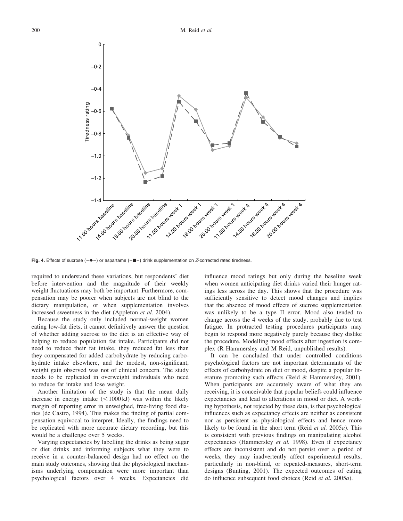

Fig. 4. Effects of sucrose  $(-\bullet-)$  or aspartame  $(-\blacksquare-)$  drink supplementation on Z-corrected rated tiredness.

required to understand these variations, but respondents' diet before intervention and the magnitude of their weekly weight fluctuations may both be important. Furthermore, compensation may be poorer when subjects are not blind to the dietary manipulation, or when supplementation involves increased sweetness in the diet (Appleton *et al.* 2004).

Because the study only included normal-weight women eating low-fat diets, it cannot definitively answer the question of whether adding sucrose to the diet is an effective way of helping to reduce population fat intake. Participants did not need to reduce their fat intake, they reduced fat less than they compensated for added carbohydrate by reducing carbohydrate intake elsewhere, and the modest, non-significant, weight gain observed was not of clinical concern. The study needs to be replicated in overweight individuals who need to reduce fat intake and lose weight.

Another limitation of the study is that the mean daily increase in energy intake  $(<1000 \text{ kJ})$  was within the likely margin of reporting error in unweighed, free-living food diaries (de Castro, 1994). This makes the finding of partial compensation equivocal to interpret. Ideally, the findings need to be replicated with more accurate dietary recording, but this would be a challenge over 5 weeks.

Varying expectancies by labelling the drinks as being sugar or diet drinks and informing subjects what they were to receive in a counter-balanced design had no effect on the main study outcomes, showing that the physiological mechanisms underlying compensation were more important than psychological factors over 4 weeks. Expectancies did influence mood ratings but only during the baseline week when women anticipating diet drinks varied their hunger ratings less across the day. This shows that the procedure was sufficiently sensitive to detect mood changes and implies that the absence of mood effects of sucrose supplementation was unlikely to be a type II error. Mood also tended to change across the 4 weeks of the study, probably due to test fatigue. In protracted testing procedures participants may begin to respond more negatively purely because they dislike the procedure. Modelling mood effects after ingestion is complex (R Hammersley and M Reid, unpublished results).

It can be concluded that under controlled conditions psychological factors are not important determinants of the effects of carbohydrate on diet or mood, despite a popular literature promoting such effects (Reid & Hammersley, 2001). When participants are accurately aware of what they are receiving, it is conceivable that popular beliefs could influence expectancies and lead to alterations in mood or diet. A working hypothesis, not rejected by these data, is that psychological influences such as expectancy effects are neither as consistent nor as persistent as physiological effects and hence more likely to be found in the short term (Reid et al. 2005a). This is consistent with previous findings on manipulating alcohol expectancies (Hammersley et al. 1998). Even if expectancy effects are inconsistent and do not persist over a period of weeks, they may inadvertently affect experimental results, particularly in non-blind, or repeated-measures, short-term designs (Bunting, 2001). The expected outcomes of eating do influence subsequent food choices (Reid et al. 2005a).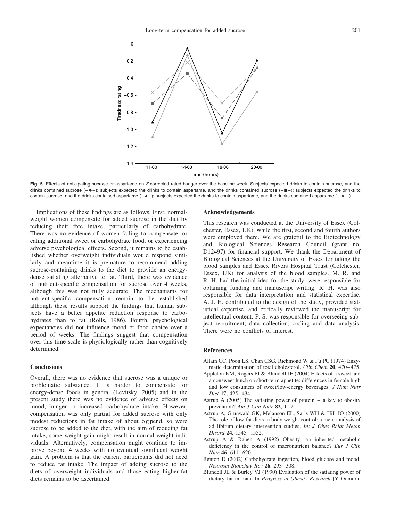

Fig. 5. Effects of anticipating sucrose or aspartame on Z-corrected rated hunger over the baseline week. Subjects expected drinks to contain sucrose, and the drinks contained sucrose ( $-\blacklozenge$ ); subjects expected the drinks to contain aspartame, and the drinks contained sucrose ( $-\blacksquare$ ); subjects expected the drinks to contain sucrose, and the drinks contained aspartame  $(-\mathbf{A}-)$ ; subjects expected the drinks to contain aspartame, and the drinks contained aspartame  $(- \times -)$ .

Implications of these findings are as follows. First, normalweight women compensate for added sucrose in the diet by reducing their free intake, particularly of carbohydrate. There was no evidence of women failing to compensate, or eating additional sweet or carbohydrate food, or experiencing adverse psychological effects. Second, it remains to be established whether overweight individuals would respond similarly and meantime it is premature to recommend adding sucrose-containing drinks to the diet to provide an energydense satiating alternative to fat. Third, there was evidence of nutrient-specific compensation for sucrose over 4 weeks, although this was not fully accurate. The mechanisms for nutrient-specific compensation remain to be established although these results support the findings that human subjects have a better appetite reduction response to carbohydrates than to fat (Rolls, 1986). Fourth, psychological expectancies did not influence mood or food choice over a period of weeks. The findings suggest that compensation over this time scale is physiologically rather than cognitively determined.

### **Conclusions**

Overall, there was no evidence that sucrose was a unique or problematic substance. It is harder to compensate for energy-dense foods in general (Levitsky, 2005) and in the present study there was no evidence of adverse effects on mood, hunger or increased carbohydrate intake. However, compensation was only partial for added sucrose with only modest reductions in fat intake of about 6 g per d, so were sucrose to be added to the diet, with the aim of reducing fat intake, some weight gain might result in normal-weight individuals. Alternatively, compensation might continue to improve beyond 4 weeks with no eventual significant weight gain. A problem is that the current participants did not need to reduce fat intake. The impact of adding sucrose to the diets of overweight individuals and those eating higher-fat diets remains to be ascertained.

#### Acknowledgements

This research was conducted at the University of Essex (Colchester, Essex, UK), while the first, second and fourth authors were employed there. We are grateful to the Biotechnology and Biological Sciences Research Council (grant no. D12497) for financial support. We thank the Department of Biological Sciences at the University of Essex for taking the blood samples and Essex Rivers Hospital Trust (Colchester, Essex, UK) for analysis of the blood samples. M. R. and R. H. had the initial idea for the study, were responsible for obtaining funding and manuscript writing. R. H. was also responsible for data interpretation and statistical expertise. A. J. H. contributed to the design of the study, provided statistical expertise, and critically reviewed the manuscript for intellectual content. P. S. was responsible for overseeing subject recruitment, data collection, coding and data analysis. There were no conflicts of interest.

#### References

- Allain CC, Poon LS, Chan CSG, Richmond W & Fu PC (1974) Enzymatic determination of total cholesterol. Clin Chem 20, 470-475.
- Appleton KM, Rogers PJ & Blundell JE (2004) Effects of a sweet and a nonsweet lunch on short-term appetite: differences in female high and low consumers of sweet/low-energy beverages. J Hum Nutr Diet 17, 425-434.
- Astrup A (2005) The satiating power of protein a key to obesity prevention? Am J Clin Nutr 82,  $1-2$ .
- Astrup A, Grunwald GK, Melanson EL, Saris WH & Hill JO (2000) The role of low-fat diets in body weight control: a meta-analysis of ad libitum dietary intervention studies. Int J Obes Relat Metab Disord 24, 1545-1552.
- Astrup A & Raben A (1992) Obesity: an inherited metabolic deficiency in the control of macronutrient balance? Eur J Clin Nutr 46, 611-620.
- Benton D (2002) Carbohydrate ingestion, blood glucose and mood. Neurosci Biobehav Rev 26, 293-308.
- Blundell JE & Burley VJ (1990) Evaluation of the satiating power of dietary fat in man. In Progress in Obesity Research [Y Oomura,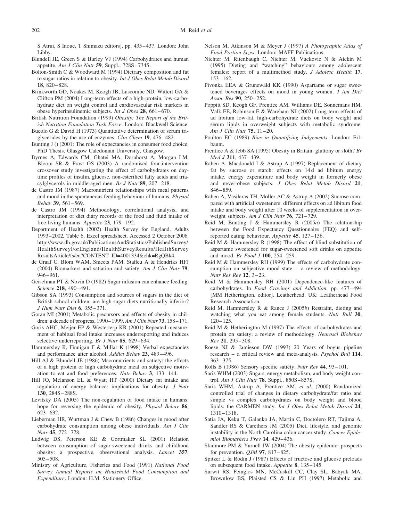S Atrui, S Inoue, T Shimazu editors], pp. 435 –437. London: John Libby.

- Blundell JE, Green S & Burley VJ (1994) Carbohydrates and human appetite. Am J Clin Nutr 59, Suppl., 728S-734S.
- Bolton-Smith C & Woodward M (1994) Dietrary composition and fat to sugar ratios in relation to obesity. Int J Obes Relat Metab Disord 18, 820 –828.
- Brinkworth GD, Noakes M, Keogh JB, Luscombe ND, Wittert GA & Clifton PM (2004) Long-term effects of a high-protein, low-carbohydrate diet on weight control and cardiovascular risk markers in obese hyperinsulinemic subjects. *Int J Obes* 28, 661–670.
- British Nutrition Foundation (1999) Obesity: The Report of the British Nutrition Foundation Task Force. London: Blackwell Science.
- Bucolo G & David H (1973) Quantitative determination of serum triglycerides by the use of enzymes. Clin Chem 19, 476-482.
- Bunting J () (2001) The role of expectancies in consumer food choice. PhD Thesis, Glasgow Caledonian University, Glasgow.
- Byrnes A, Edwards CM, Ghatei MA, Dornhorst A, Morgan LM, Bloom SR & Frost GS (2003) A randomised four-intervention crossover study investigating the effect of carbohydrates on daytime profiles of insulin, glucose, non-esterified fatty acids and triacylglycerols in middle-aged men. Br J Nutr 89, 207-218.
- de Castro JM (1987) Macronutrient relationships with meal patterns and mood in the spontaneous feeding behaviour of humans. Physiol Behav 39, 561 – 569.
- de Castro JM (1994) Methodology, correlational analysis, and interpretation of diet diary records of the food and fluid intake of free-living humans. Appetite 23, 179-192.
- Department of Health (2002) Health Survey for England, Adults 1993–2002, Table 6. Excel spreadsheet. Accessed 2 October 2006. http://www.dh.gov.uk/PublicationsAndStatistics/PublishedSurvey/ HealthSurveyForEngland/HealthSurveyResults/HealthSurvey ResultsArticle/fs/en?CONTENT\_ID=4001334&chk=RgQBk4.
- de Graaf C, Blom WAM, Smeets PAM, Stafleu A & Hendriks HFJ (2004) Biomarkers and satiation and satiety. Am J Clin Nutr 79, 946 –961.
- Geiselman PT & Novin D (1982) Sugar infusion can enhance feeding. Science 218, 490-491.
- Gibson SA (1993) Consumption and sources of sugars in the diet of British school children: are high-sugar diets nutritionally inferior? J Hum Nutr Diet 6, 355 –371.
- Goran MI (2001) Metabolic precursors and effects of obesity in children: a decade of progress, 1990–1999. Am J Clin Nutr 73, 158–171.
- Goris AHC, Meijer EP & Westerterp KR (2001) Repeated measurement of habitual food intake increases underreporting and induces selective underreporting. Br J Nutr  $85, 629 - 634$ .
- Hammersley R, Finnigan F & Millar K (1998) Verbal expectancies and performance after alcohol. Addict Behav 23, 489 –496.
- Hill AJ & Blundell JE (1986) Macronutrients and satiety: the effects of a high protein or high carbohydrate meal on subjective motivation to eat and food preferences. Nutr Behav 3, 133-144.
- Hill JO, Melanson EL & Wyatt HT (2000) Dietary fat intake and regulation of energy balance: implications for obesity. J Nutr 130, 284S – 288S.
- Levitsky DA (2005) The non-regulation of food intake in humans: hope for reversing the epidemic of obesity. Physiol Behav 86, 623 –632.
- Lieberman HR, Wurtman J & Chew B (1986) Changes in mood after carbohydrate consumption among obese individuals. Am J Clin Nutr 45, 772-778.
- Ludwig DS, Peterson KE & Gortmaker SL (2001) Relation between consumption of sugar-sweetened drinks and childhood obesity: a prospective, observational analysis. Lancet 357,  $505 - 508$ .
- Ministry of Agriculture, Fisheries and Food (1991) National Food Survey Annual Reports on Household Food Consumption and Expenditure. London: H.M. Stationery Office.
- Nelson M, Atkinson M & Meyer J (1997) A Photographic Atlas of Food Portion Sizes. London: MAFF Publications.
- Nichter M, Ritenbaugh C, Nichter M, Vuckovic N & Aickin M (1995) Dieting and "watching" behaviours among adolescent females: report of a multimethod study. J Adolesc Health 17,  $153 - 162$ .
- Pivonka EEA & Grunewald KK (1990) Aspartame or sugar sweetened beverages effects on mood in young women. J Am Diet Assoc Res 90, 250-252.
- Poppitt SD, Keogh GF, Prentice AM, Williams DE, Sonnemans HM, Valk EE, Robinson E & Wareham NJ (2002) Long-term effects of ad libitum low-fat, high-carbohydrate diets on body weight and serum lipids in overweight subjects with metabolic syndrome. Am J Clin Nutr 75, 11-20.
- Poulton EC (1989) Bias in Quantifying Judgements. London: Erlbaum.
- Prentice A & Jebb SA (1995) Obesity in Britain: gluttony or sloth? Br Med J 311, 437–439.
- Raben A, Macdonald I & Astrup A (1997) Replacement of dietary fat by sucrose or starch: effects on 14 d ad libitum energy intake, energy expenditure and body weight in formerly obese and never-obese subjects. J Obes Relat Metab Disord 21, 846 – 859.
- Raben A, Vasilaras TH, Moller AC & Astrup A (2002) Sucrose compared with artificial sweeteners: different effects on ad libitum food intake and body weight after 10 weeks of supplementation in overweight subjects. Am J Clin Nutr 76, 721-729.
- Reid M, Bunting J & Hammersley R  $(2005a)$  The relationship between the Food Expectancy Questionnaire (FEQ) and selfreported eating behaviour. Appetite 45, 127–136.
- Reid M & Hammersley R (1998) The effect of blind substitution of aspartame sweetened for sugar-sweetened soft drinks on appetite and mood. *Br Food J* 100, 254-259.
- Reid M & Hammersley RH (1999) The effects of carbohydrate consumption on subjective mood state – a review of methodology. Nutr Res Rev 12, 3-23.
- Reid M & Hammersley RH (2001) Dependence-like features of carbohydrates. In Food Cravings and Addiction, pp. 477 – 494 [MM Hetherington, editor]. Leatherhead, UK: Leatherhead Food Research Association.
- Reid M, Hammersley R & Rance J (2005b) Restraint, dieting and watching what you eat among female students. Nutr Bull 30,  $120 - 125$
- Reid M & Hetherington M (1997) The effects of carbohydrates and protein on satiety; a review of methodology. Neurosci Biobehav Rev 21, 295 – 308.
- Roese NJ & Jamieson DW (1993) 20 Years of bogus pipeline research – a critical review and meta-analysis. Psychol Bull 114,  $363 - 375$ .
- Rolls B (1986) Sensory specific satiety. Nutr Rev 44, 93-101.
- Saris WHM (2003) Sugars, energy metabolism, and body weight control. Am J Clin Nutr 78, Suppl., 850S-857S.
- Saris WHM, Astrup A, Prentice AM, et al. (2000) Randomized controlled trial of changes in dietary carbohydrate/fat ratio and simple vs complex carbohydrates on body weight and blood lipids: the CARMEN study. Int J Obes Relat Metab Disord 24, 1310 –1318.
- Satia JA, Keku T, Galanko JA, Martin C, Doctolero RT, Tajima A, Sandler RS & Carethers JM (2005) Diet, lifestyle, and genomic instability in the North Carolina colon cancer study. Cancer Epidemiol Biomarkers Prev 14, 429-436.
- Skidmore PM & Yarnell JW (2004) The obesity epidemic: prospects for prevention. *QJM* 97, 817-825.
- Spitzer L & Rodin J (1987) Effects of fructose and glucose preloads on subsequent food intake. Appetite 8, 135 – 145.
- Surwit RS, Feinglos MN, McCaskill CC, Clay SL, Babyak MA, Brownlow BS, Plaisted CS & Lin PH (1997) Metabolic and